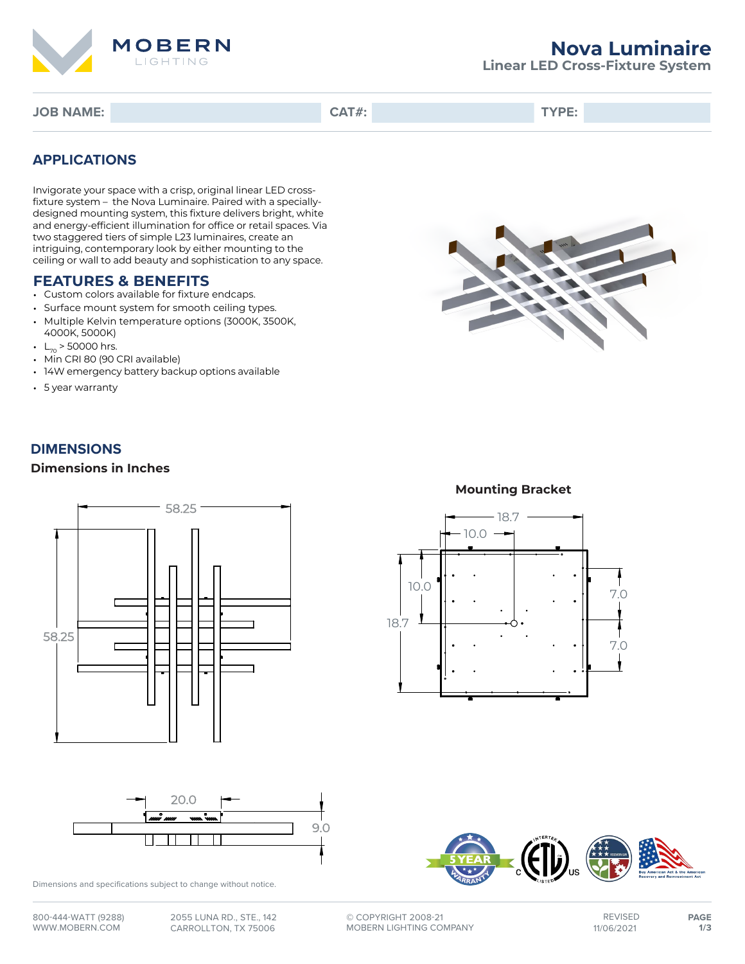

# **Nova Luminaire**

**Linear LED Cross-Fixture System**

**JOB NAME: CAT#: TYPE:**

# **APPLICATIONS**

Invigorate your space with a crisp, original linear LED crossfixture system – the Nova Luminaire. Paired with a speciallydesigned mounting system, this fixture delivers bright, white and energy-efficient illumination for office or retail spaces. Via two staggered tiers of simple L23 luminaires, create an intriguing, contemporary look by either mounting to the ceiling or wall to add beauty and sophistication to any space.

### **FEATURES & BENEFITS**

- Custom colors available for fixture endcaps.
- Surface mount system for smooth ceiling types.
- Multiple Kelvin temperature options (3000K, 3500K, 4000K, 5000K)
- $L_{70}$  > 50000 hrs.
- Min CRI 80 (90 CRI available)
- 14W emergency battery backup options available
- 5 year warranty

## **DIMENSIONS**

#### **Dimensions in Inches**





Dimensions and specifications subject to change without notice.



### **Mounting Bracket**





**©** COPYRIGHT 2008-21 MOBERN LIGHTING COMPANY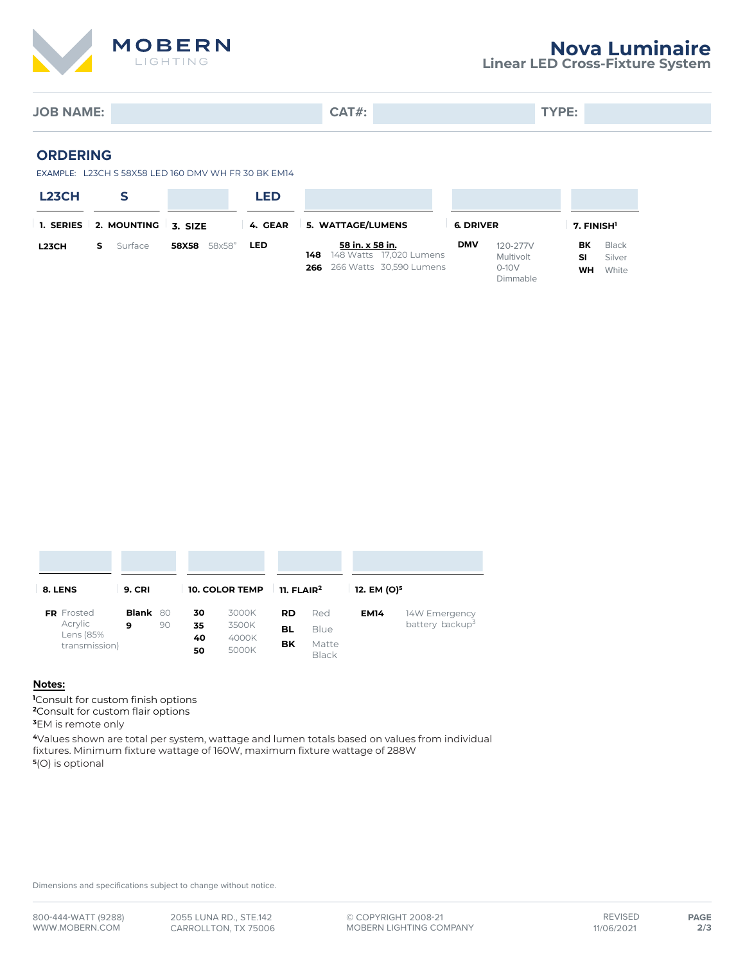

**Linear LED Cross-Fixture System**

**JOB NAME: CAT#: TYPE:**

#### **ORDERING**

EXAMPLE: L23CH S 58X58 LED 160 DMV WH FR 30 BK EM14

| <b>L23CH</b> |                       |         |        | LED        |                   |                                                                       |  |                  |                                              |                        |                          |
|--------------|-----------------------|---------|--------|------------|-------------------|-----------------------------------------------------------------------|--|------------------|----------------------------------------------|------------------------|--------------------------|
|              | 1. SERIES 2. MOUNTING | 3. SIZE |        | 4. GEAR    | 5. WATTAGE/LUMENS |                                                                       |  | <b>6. DRIVER</b> |                                              | 7. FINISH <sup>1</sup> |                          |
| <b>L23CH</b> | Surface               | 58X58   | 58x58" | <b>LED</b> | 148<br>266        | 58 in. x 58 in.<br>148 Watts 17,020 Lumens<br>266 Watts 30,590 Lumens |  | <b>DMV</b>       | 120-277V<br>Multivolt<br>$0-10V$<br>Dimmable | ВK<br>SI<br>WH         | Black<br>Silver<br>White |

| 8. LENS                               | <b>9. CRI</b> |                | <b>10. COLOR TEMP</b>   |          | $11.$ FLAIR <sup>2</sup>      |     | 12. EM (O) <sup>5</sup>     |               |  |
|---------------------------------------|---------------|----------------|-------------------------|----------|-------------------------------|-----|-----------------------------|---------------|--|
| <b>FR</b> Frosted                     | Blank 80      |                | 30                      | 3000K    | <b>RD</b>                     | Red | <b>EM14</b>                 | 14W Emergency |  |
| Acrylic<br>Lens (85%<br>transmission) | 9<br>90       | 35<br>40<br>50 | 3500K<br>4000K<br>5000K | BL<br>вĸ | Blue<br>Matte<br><b>Black</b> |     | battery backup <sup>3</sup> |               |  |

#### **Notes:**

**<sup>1</sup>**Consult for custom finish options **<sup>2</sup>**Consult for custom flair options

**<sup>3</sup>**EM is remote only

**<sup>4</sup>**Values shown are total per system, wattage and lumen totals based on values from individual fixtures. Minimum fixture wattage of 160W, maximum fixture wattage of 288W **5** (O) is optional

Dimensions and specifications subject to change without notice.